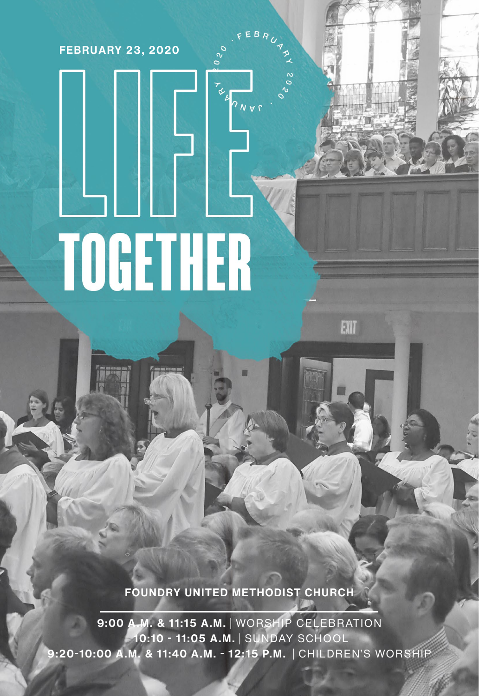**FEBRUARY 23, 2020**

# **TOGETHER**

**FOUNDRY UNITED METHODIST CHURCH**

 $3N41$ 

EXIT

**9:00 A.M. & 11:15 A.M.** | WORSHIP CELEBRATION  **10:10 - 11:05 A.M.** | SUNDAY SCHOOL **9:20-10:00 A.M. & 11:40 A.M. - 12:15 P.M.** | CHILDREN'S WORSHIP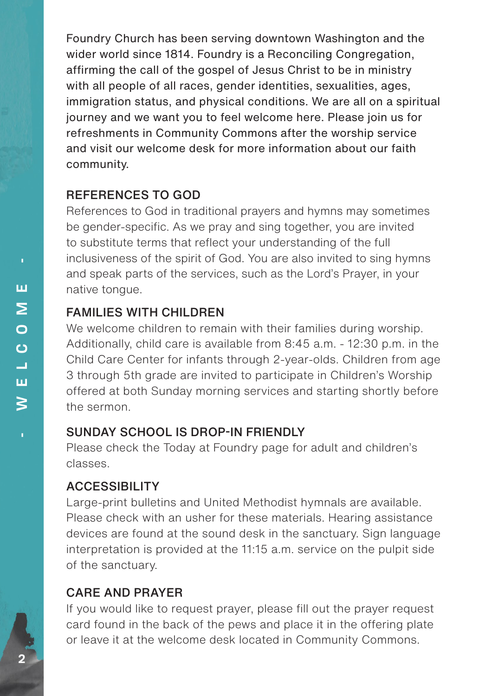Foundry Church has been serving downtown Washington and the wider world since 1814. Foundry is a Reconciling Congregation, affirming the call of the gospel of Jesus Christ to be in ministry with all people of all races, gender identities, sexualities, ages, immigration status, and physical conditions. We are all on a spiritual journey and we want you to feel welcome here. Please join us for refreshments in Community Commons after the worship service and visit our welcome desk for more information about our faith community.

#### REFERENCES TO GOD

References to God in traditional prayers and hymns may sometimes be gender-specific. As we pray and sing together, you are invited to substitute terms that reflect your understanding of the full inclusiveness of the spirit of God. You are also invited to sing hymns and speak parts of the services, such as the Lord's Prayer, in your native tongue.

#### FAMILIES WITH CHILDREN

We welcome children to remain with their families during worship. Additionally, child care is available from 8:45 a.m. - 12:30 p.m. in the Child Care Center for infants through 2-year-olds. Children from age 3 through 5th grade are invited to participate in Children's Worship offered at both Sunday morning services and starting shortly before the sermon.

## SUNDAY SCHOOL IS DROP-IN FRIENDLY

Please check the Today at Foundry page for adult and children's classes.

## ACCESSIBILITY

Large-print bulletins and United Methodist hymnals are available. Please check with an usher for these materials. Hearing assistance devices are found at the sound desk in the sanctuary. Sign language interpretation is provided at the 11:15 a.m. service on the pulpit side of the sanctuary.

## CARE AND PRAYER

If you would like to request prayer, please fill out the prayer request card found in the back of the pews and place it in the offering plate or leave it at the welcome desk located in Community Commons.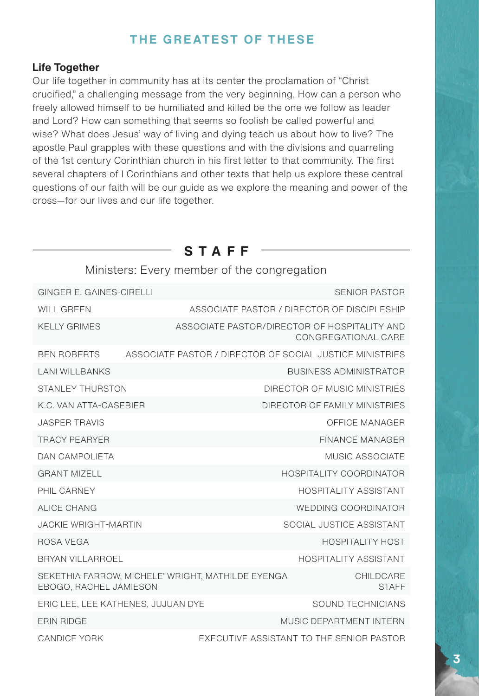## **THE GREATEST OF THESE**

#### **Life Together**

Our life together in community has at its center the proclamation of "Christ crucified," a challenging message from the very beginning. How can a person who freely allowed himself to be humiliated and killed be the one we follow as leader and Lord? How can something that seems so foolish be called powerful and wise? What does Jesus' way of living and dying teach us about how to live? The apostle Paul grapples with these questions and with the divisions and quarreling of the 1st century Corinthian church in his first letter to that community. The first several chapters of I Corinthians and other texts that help us explore these central questions of our faith will be our guide as we explore the meaning and power of the cross—for our lives and our life together.

**STAFF**

## Ministers: Every member of the congregation GINGER E. GAINES-CIRELLI SENIOR PASTOR WILL GREEN **ASSOCIATE PASTOR / DIRECTOR OF DISCIPLESHIP** BEN ROBERTS ASSOCIATE PASTOR / DIRECTOR OF SOCIAL JUSTICE MINISTRIES KELLY GRIMES **ASSOCIATE PASTOR/DIRECTOR OF HOSPITALITY AND** CONGREGATIONAL CARE LANI WILLBANKS BUSINESS ADMINISTRATOR STANLEY THURSTON **STANLEY THURSTON DIRECTOR OF MUSIC MINISTRIES** K.C. VAN ATTA-CASEBIER DIRECTOR OF FAMILY MINISTRIES JASPER TRAVIS OFFICE MANAGER PHIL CARNEY **A CONSERVANT CONSERVANT CARNEY ASSISTANT** GRANT MIZELL **A COORDINATOR** GRANT MIZELL **HOSPITALITY COORDINATOR** TRACY PEARYER FINANCE MANAGER JACKIE WRIGHT-MARTIN **SOCIAL SOCIAL SOCIAL JUSTICE ASSISTANT** BRYAN VILLARROFI **HOSPITALITY ASSISTANT** DAN CAMPOLIETA MUSIC ASSOCIATE ALICE CHANG WEDDING COORDINATOR ROSA VEGA HOSPITALITY HOST FRIN RIDGE **ERIN RIDGE MUSIC DEPARTMENT INTERN** ERIC LEE, LEE KATHENES, JUJUAN DYE SOUND TECHNICIANS CANDICE YORK EXECUTIVE ASSISTANT TO THE SENIOR PASTOR SEKETHIA FARROW, MICHELE' WRIGHT, MATHILDE EYENGA EBOGO, RACHEL JAMIESON CHILDCARE **STAFF**

**3**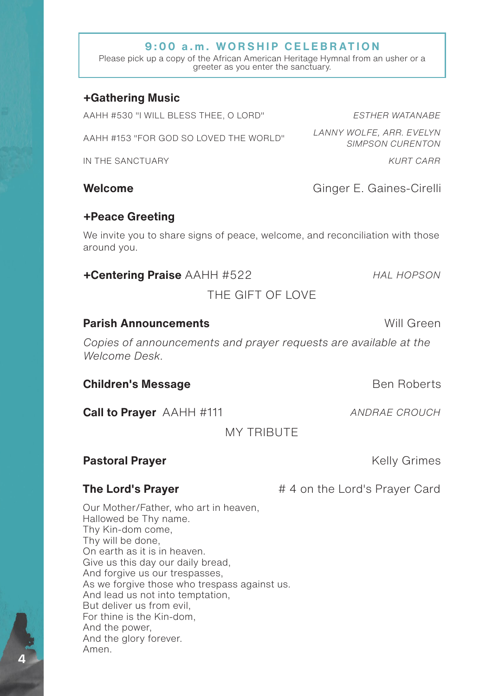#### **9:00 a.m. WORSHIP CELEBRATION**

Please pick up a copy of the African American Heritage Hymnal from an usher or a greeter as you enter the sanctuary.

#### **+Gathering Music**

AAHH #530 "I WILL BLESS THEE, O LORD" *ESTHER WATANABE* AAHH #153 "FOR GOD SO LOVED THE WORLD" *LANNY WOLFE, ARR. EVELYN SIMPSON CURENTON* IN THE SANCTUARY *KURT CARR*

#### **Welcome** Ginger E. Gaines-Cirelli

#### **+Peace Greeting**

We invite you to share signs of peace, welcome, and reconciliation with those around you.

**+Centering Praise** AAHH #522 *HAL HOPSON*

THE GIFT OF LOVE

#### **Parish Announcements Will Green**

*Copies of announcements and prayer requests are available at the Welcome Desk.*

**Children's Message** Ben Roberts

**Call to Prayer** AAHH #111 *ANDRAE CROUCH*

MY TRIBUTE

#### **Pastoral Prayer Contract Contract Contract Contract Contract Contract Contract Contract Contract Contract Contract Contract Contract Contract Contract Contract Contract Contract Contract Contract Contract Contract Contr**

Our Mother/Father, who art in heaven, Hallowed be Thy name. Thy Kin-dom come, Thy will be done, On earth as it is in heaven. Give us this day our daily bread, And forgive us our trespasses, As we forgive those who trespass against us. And lead us not into temptation, But deliver us from evil, For thine is the Kin-dom, And the power, And the glory forever. Amen.

**The Lord's Prayer 1988 COLLUTE:** #4 on the Lord's Prayer Card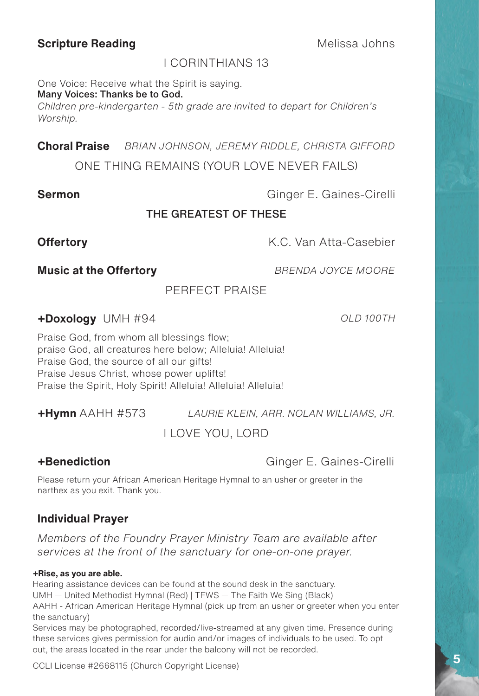#### **Scripture Reading Melissa Johns**

#### I CORINTHIANS 13

One Voice: Receive what the Spirit is saying.

Many Voices: Thanks be to God.

*Children pre-kindergarten - 5th grade are invited to depart for Children's Worship.*

**Choral Praise** *BRIAN JOHNSON, JEREMY RIDDLE, CHRISTA GIFFORD*

ONE THING REMAINS (YOUR LOVE NEVER FAILS)

**Sermon** Ginger E. Gaines-Cirelli

#### THE GREATEST OF THESE

**Offertory K.C. Van Atta-Casebier** 

**Music at the Offertory** *BRENDA JOYCE MOORE*

PERFECT PRAISE

**+Doxology** UMH #94 *OLD 100TH*

Praise God, from whom all blessings flow; praise God, all creatures here below; Alleluia! Alleluia! Praise God, the source of all our gifts! Praise Jesus Christ, whose power uplifts! Praise the Spirit, Holy Spirit! Alleluia! Alleluia! Alleluia!

**+Hymn** AAHH #573 *LAURIE KLEIN, ARR. NOLAN WILLIAMS, JR.*

I LOVE YOU, LORD

**+Benediction** Ginger E. Gaines-Cirelli

Please return your African American Heritage Hymnal to an usher or greeter in the narthex as you exit. Thank you.

#### **Individual Prayer**

*Members of the Foundry Prayer Ministry Team are available after services at the front of the sanctuary for one-on-one prayer.*

#### **+Rise, as you are able.**

Hearing assistance devices can be found at the sound desk in the sanctuary. UMH — United Methodist Hymnal (Red) | TFWS — The Faith We Sing (Black) AAHH - African American Heritage Hymnal (pick up from an usher or greeter when you enter the sanctuary) Services may be photographed, recorded/live-streamed at any given time. Presence during

these services gives permission for audio and/or images of individuals to be used. To opt out, the areas located in the rear under the balcony will not be recorded.

CCLI License #2668115 (Church Copyright License)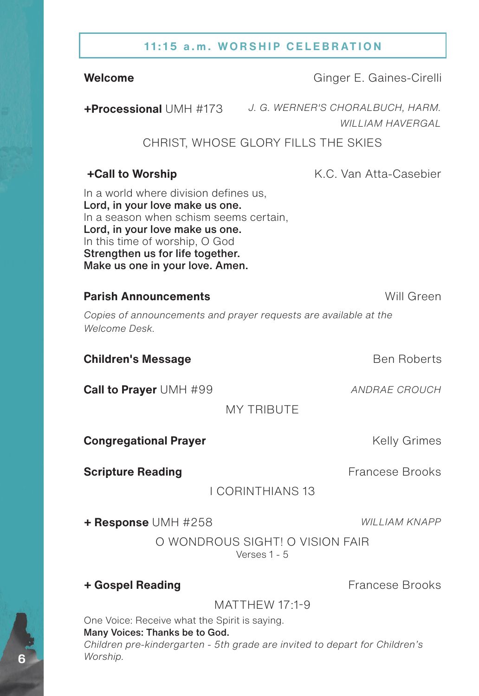#### **11:15 a.m. WORSHIP CELEBRATION**

**Welcome** Ginger E. Gaines-Cirelli

**+Processional** UMH #173 *J. G. WERNER'S CHORALBUCH, HARM. WILLIAM HAVERGAL*

#### CHRIST, WHOSE GLORY FILLS THE SKIES

**+Call to Worship K.C. Van Atta-Casebier** 

In a world where division defines us, Lord, in your love make us one. In a season when schism seems certain, Lord, in your love make us one. In this time of worship, O God Strengthen us for life together. Make us one in your love. Amen.

#### **Parish Announcements Will Green**

*Copies of announcements and prayer requests are available at the Welcome Desk.*

**Children's Message** Ben Roberts

**Call to Prayer** UMH #99 *ANDRAE CROUCH* 

MY TRIBUTE

**Congregational Prayer** Manual Active Relly Grimes

**Scripture Reading Example 20 Francese Brooks** 

I CORINTHIANS 13

**+ Response** UMH #258 *WILLIAM KNAPP*

O WONDROUS SIGHT! O VISION FAIR Verses 1 - 5

**+ Gospel Reading** Francese Brooks

MATTHEW 17:1-9

One Voice: Receive what the Spirit is saying.

#### Many Voices: Thanks be to God.

*Children pre-kindergarten - 5th grade are invited to depart for Children's Worship.*

**6**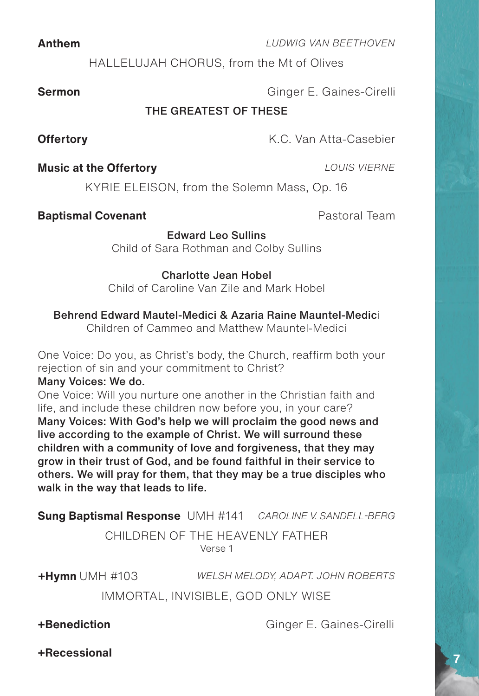HALLELUJAH CHORUS, from the Mt of Olives

**Sermon** Ginger E. Gaines-Cirelli

#### THE GREATEST OF THESE

**Offertory K.C. Van Atta-Casebier** 

#### **Music at the Offertory** *LOUIS VIERNE*

**Baptismal Covenant Baptismal Covenant** 

Edward Leo Sullins Child of Sara Rothman and Colby Sullins

KYRIE ELEISON, from the Solemn Mass, Op. 16

#### Charlotte Jean Hobel

Child of Caroline Van Zile and Mark Hobel

#### Behrend Edward Mautel-Medici & Azaria Raine Mauntel-Medici

Children of Cammeo and Matthew Mauntel-Medici

One Voice: Do you, as Christ's body, the Church, reaffirm both your rejection of sin and your commitment to Christ?

#### Many Voices: We do.

One Voice: Will you nurture one another in the Christian faith and life, and include these children now before you, in your care? Many Voices: With God's help we will proclaim the good news and live according to the example of Christ. We will surround these children with a community of love and forgiveness, that they may grow in their trust of God, and be found faithful in their service to others. We will pray for them, that they may be a true disciples who walk in the way that leads to life.

**Sung Baptismal Response** UMH #141 *CAROLINE V. SANDELL-BERG*

CHILDREN OF THE HEAVENLY FATHER Verse 1

**+Hymn** UMH #103 *WELSH MELODY, ADAPT. JOHN ROBERTS* IMMORTAL, INVISIBLE, GOD ONLY WISE

**+Benediction** Ginger E. Gaines-Cirelli

**7**

#### **Anthem** *LUDWIG VAN BEETHOVEN*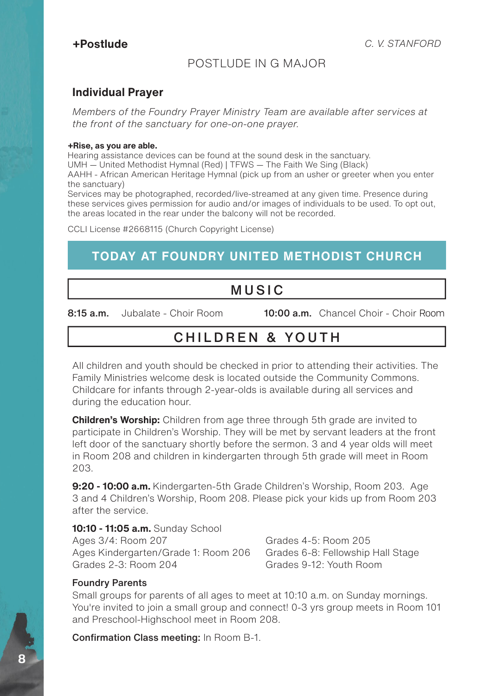#### POSTLUDE IN G MAJOR

#### **Individual Prayer**

*Members of the Foundry Prayer Ministry Team are available after services at the front of the sanctuary for one-on-one prayer.*

#### **+Rise, as you are able.**

Hearing assistance devices can be found at the sound desk in the sanctuary. UMH — United Methodist Hymnal (Red) | TFWS — The Faith We Sing (Black) AAHH - African American Heritage Hymnal (pick up from an usher or greeter when you enter

the sanctuary) Services may be photographed, recorded/live-streamed at any given time. Presence during

these services gives permission for audio and/or images of individuals to be used. To opt out, the areas located in the rear under the balcony will not be recorded.

CCLI License #2668115 (Church Copyright License)

## **TODAY AT FOUNDRY UNITED METHODIST CHURCH**

## MUSIC

8:15 a.m. Jubalate - Choir Room 10:00 a.m. Chancel Choir - Choir Room

# CHILDREN & YOUTH

All children and youth should be checked in prior to attending their activities. The Family Ministries welcome desk is located outside the Community Commons. Childcare for infants through 2-year-olds is available during all services and during the education hour.

**Children's Worship:** Children from age three through 5th grade are invited to participate in Children's Worship. They will be met by servant leaders at the front left door of the sanctuary shortly before the sermon. 3 and 4 year olds will meet in Room 208 and children in kindergarten through 5th grade will meet in Room 203.

**9:20 - 10:00 a.m.** Kindergarten-5th Grade Children's Worship, Room 203. Age 3 and 4 Children's Worship, Room 208. Please pick your kids up from Room 203 after the service.

#### **10:10 - 11:05 a.m.** Sunday School

Ages 3/4: Room 207 Ages Kindergarten/Grade 1: Room 206 Grades 2-3: Room 204

Grades 4-5: Room 205 Grades 6-8: Fellowship Hall Stage Grades 9-12: Youth Room

#### Foundry Parents

Small groups for parents of all ages to meet at 10:10 a.m. on Sunday mornings. You're invited to join a small group and connect! 0-3 yrs group meets in Room 101 and Preschool-Highschool meet in Room 208.

Confirmation Class meeting: In Room B-1.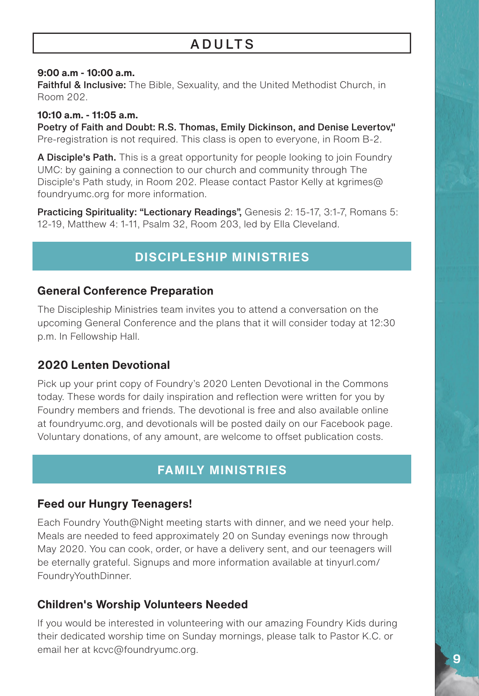# **ADULTS**

#### **9:00 a.m - 10:00 a.m.**

Faithful & Inclusive: The Bible, Sexuality, and the United Methodist Church, in Room 202.

**10:10 a.m. - 11:05 a.m.** Poetry of Faith and Doubt: R.S. Thomas, Emily Dickinson, and Denise Levertov," Pre-registration is not required. This class is open to everyone, in Room B-2.

A Disciple's Path. This is a great opportunity for people looking to join Foundry UMC: by gaining a connection to our church and community through The Disciple's Path study, in Room 202. Please contact Pastor Kelly at kgrimes@ foundryumc.org for more information.

Practicing Spirituality: "Lectionary Readings", Genesis 2: 15-17, 3:1-7, Romans 5: 12-19, Matthew 4: 1-11, Psalm 32, Room 203, led by Ella Cleveland.

## **DISCIPLESHIP MINISTRIES**

#### **General Conference Preparation**

The Discipleship Ministries team invites you to attend a conversation on the upcoming General Conference and the plans that it will consider today at 12:30 p.m. In Fellowship Hall.

#### **2020 Lenten Devotional**

Pick up your print copy of Foundry's 2020 Lenten Devotional in the Commons today. These words for daily inspiration and reflection were written for you by Foundry members and friends. The devotional is free and also available online at foundryumc.org, and devotionals will be posted daily on our Facebook page. Voluntary donations, of any amount, are welcome to offset publication costs.

## **FAMILY MINISTRIES**

#### **Feed our Hungry Teenagers!**

Each Foundry Youth@Night meeting starts with dinner, and we need your help. Meals are needed to feed approximately 20 on Sunday evenings now through May 2020. You can cook, order, or have a delivery sent, and our teenagers will be eternally grateful. Signups and more information available at tinyurl.com/ FoundryYouthDinner.

#### **Children's Worship Volunteers Needed**

If you would be interested in volunteering with our amazing Foundry Kids during their dedicated worship time on Sunday mornings, please talk to Pastor K.C. or email her at kcvc@foundryumc.org.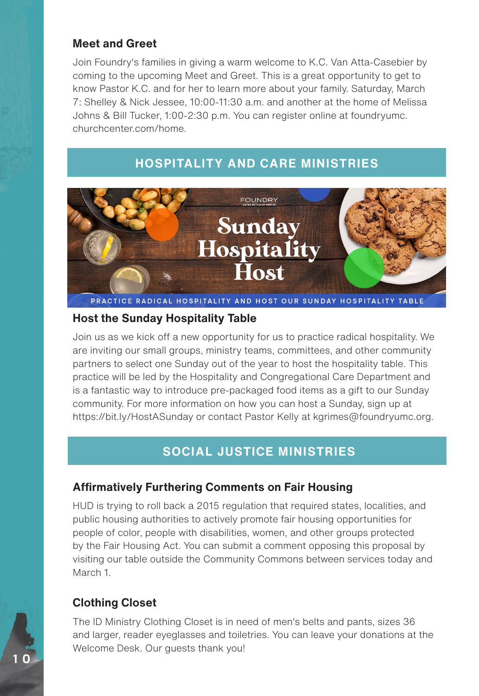#### **Meet and Greet**

Join Foundry's families in giving a warm welcome to K.C. Van Atta-Casebier by coming to the upcoming Meet and Greet. This is a great opportunity to get to know Pastor K.C. and for her to learn more about your family. Saturday, March 7: Shelley & Nick Jessee, 10:00-11:30 a.m. and another at the home of Melissa Johns & Bill Tucker, 1:00-2:30 p.m. You can register online at foundryumc. churchcenter.com/home.

#### **HOSPITALITY AND CARE MINISTRIES**



PRACTICE RADICAL HOSPITALITY AND HOST OUR SUNDAY HOSPITALITY TABLE

#### **Host the Sunday Hospitality Table**

Join us as we kick off a new opportunity for us to practice radical hospitality. We are inviting our small groups, ministry teams, committees, and other community partners to select one Sunday out of the year to host the hospitality table. This practice will be led by the Hospitality and Congregational Care Department and is a fantastic way to introduce pre-packaged food items as a gift to our Sunday community. For more information on how you can host a Sunday, sign up at https://bit.ly/HostASunday or contact Pastor Kelly at kgrimes@foundryumc.org.

## **SOCIAL JUSTICE MINISTRIES**

#### **Affirmatively Furthering Comments on Fair Housing**

HUD is trying to roll back a 2015 regulation that required states, localities, and public housing authorities to actively promote fair housing opportunities for people of color, people with disabilities, women, and other groups protected by the Fair Housing Act. You can submit a comment opposing this proposal by visiting our table outside the Community Commons between services today and March 1.

#### **Clothing Closet**

The ID Ministry Clothing Closet is in need of men's belts and pants, sizes 36 and larger, reader eyeglasses and toiletries. You can leave your donations at the Welcome Desk. Our guests thank you!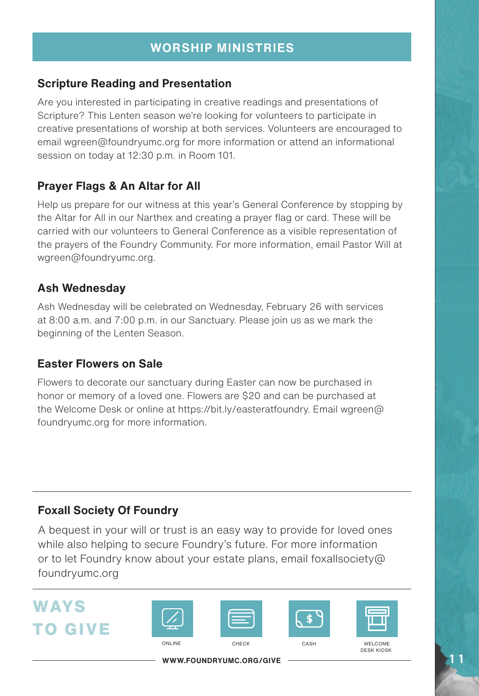#### **Scripture Reading and Presentation**

Are you interested in participating in creative readings and presentations of Scripture? This Lenten season we're looking for volunteers to participate in creative presentations of worship at both services. Volunteers are encouraged to email wgreen@foundryumc.org for more information or attend an informational session on today at 12:30 p.m. in Room 101.

#### **Prayer Flags & An Altar for All**

Help us prepare for our witness at this year's General Conference by stopping by the Altar for All in our Narthex and creating a prayer flag or card. These will be carried with our volunteers to General Conference as a visible representation of the prayers of the Foundry Community. For more information, email Pastor Will at wgreen@foundryumc.org.

#### **Ash Wednesday**

Ash Wednesday will be celebrated on Wednesday, February 26 with services at 8:00 a.m. and 7:00 p.m. in our Sanctuary. Please join us as we mark the beginning of the Lenten Season.

#### **Easter Flowers on Sale**

Flowers to decorate our sanctuary during Easter can now be purchased in honor or memory of a loved one. Flowers are \$20 and can be purchased at the Welcome Desk or online at https://bit.ly/easteratfoundry. Email wgreen@ foundryumc.org for more information.

#### **Foxall Society Of Foundry**

A bequest in your will or trust is an easy way to provide for loved ones while also helping to secure Foundry's future. For more information or to let Foundry know about your estate plans, email foxallsociety@ foundryumc.org

# **WAYS TO GIVE**









ONLINE CHECK CASH WELCOME DESK KIOSK

**WWW.FOUNDRYUMC.ORG/GIVE**